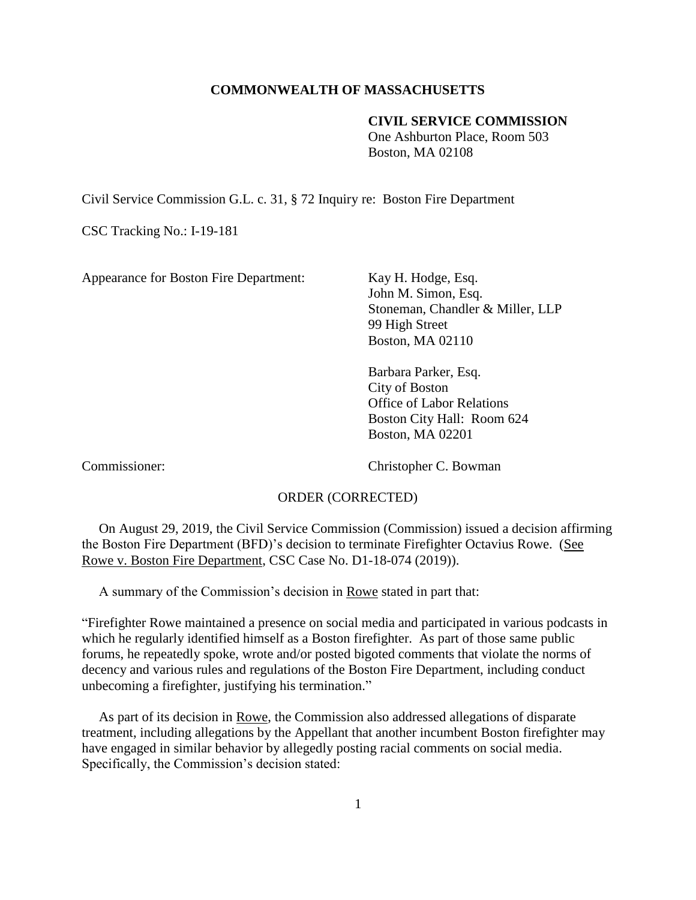## **COMMONWEALTH OF MASSACHUSETTS**

## **CIVIL SERVICE COMMISSION**

One Ashburton Place, Room 503 Boston, MA 02108

Civil Service Commission G.L. c. 31, § 72 Inquiry re: Boston Fire Department

CSC Tracking No.: I-19-181

Appearance for Boston Fire Department: Kay H. Hodge, Esq.

John M. Simon, Esq. Stoneman, Chandler & Miller, LLP 99 High Street Boston, MA 02110

Barbara Parker, Esq. City of Boston Office of Labor Relations Boston City Hall: Room 624 Boston, MA 02201

Commissioner: Christopher C. Bowman

## ORDER (CORRECTED)

 On August 29, 2019, the Civil Service Commission (Commission) issued a decision affirming the Boston Fire Department (BFD)'s decision to terminate Firefighter Octavius Rowe. (See Rowe v. Boston Fire Department, CSC Case No. D1-18-074 (2019)).

A summary of the Commission's decision in Rowe stated in part that:

"Firefighter Rowe maintained a presence on social media and participated in various podcasts in which he regularly identified himself as a Boston firefighter. As part of those same public forums, he repeatedly spoke, wrote and/or posted bigoted comments that violate the norms of decency and various rules and regulations of the Boston Fire Department, including conduct unbecoming a firefighter, justifying his termination."

As part of its decision in Rowe, the Commission also addressed allegations of disparate treatment, including allegations by the Appellant that another incumbent Boston firefighter may have engaged in similar behavior by allegedly posting racial comments on social media. Specifically, the Commission's decision stated: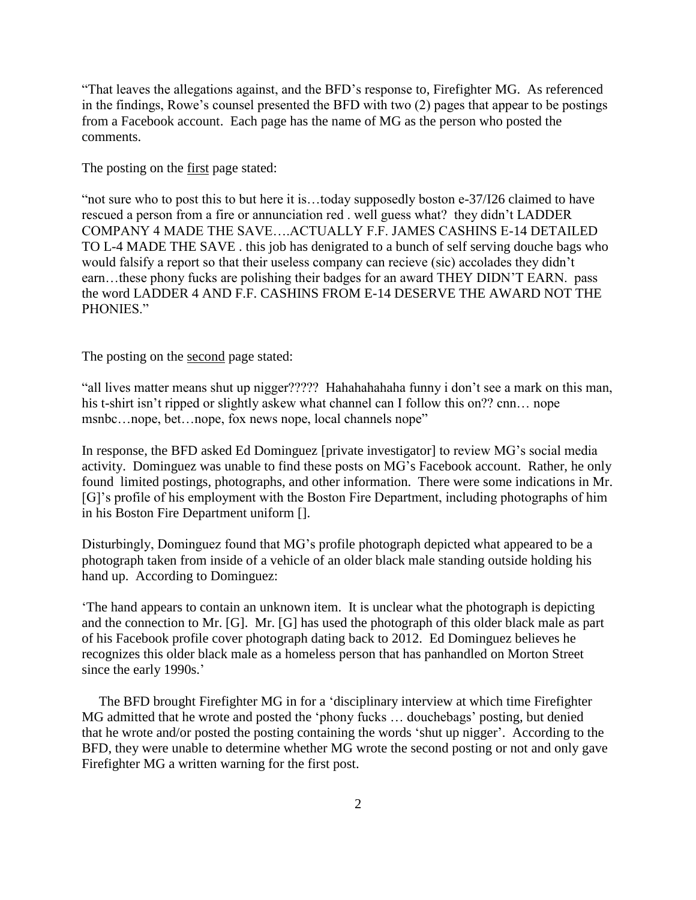"That leaves the allegations against, and the BFD's response to, Firefighter MG. As referenced in the findings, Rowe's counsel presented the BFD with two (2) pages that appear to be postings from a Facebook account. Each page has the name of MG as the person who posted the comments.

The posting on the first page stated:

"not sure who to post this to but here it is…today supposedly boston e-37/I26 claimed to have rescued a person from a fire or annunciation red . well guess what? they didn't LADDER COMPANY 4 MADE THE SAVE….ACTUALLY F.F. JAMES CASHINS E-14 DETAILED TO L-4 MADE THE SAVE . this job has denigrated to a bunch of self serving douche bags who would falsify a report so that their useless company can recieve (sic) accolades they didn't earn…these phony fucks are polishing their badges for an award THEY DIDN'T EARN. pass the word LADDER 4 AND F.F. CASHINS FROM E-14 DESERVE THE AWARD NOT THE PHONIES<sup>"</sup>

The posting on the second page stated:

"all lives matter means shut up nigger????? Hahahahahaha funny i don't see a mark on this man, his t-shirt isn't ripped or slightly askew what channel can I follow this on?? cnn... nope msnbc…nope, bet…nope, fox news nope, local channels nope"

In response, the BFD asked Ed Dominguez [private investigator] to review MG's social media activity. Dominguez was unable to find these posts on MG's Facebook account. Rather, he only found limited postings, photographs, and other information. There were some indications in Mr. [G]'s profile of his employment with the Boston Fire Department, including photographs of him in his Boston Fire Department uniform [].

Disturbingly, Dominguez found that MG's profile photograph depicted what appeared to be a photograph taken from inside of a vehicle of an older black male standing outside holding his hand up. According to Dominguez:

'The hand appears to contain an unknown item. It is unclear what the photograph is depicting and the connection to Mr. [G]. Mr. [G] has used the photograph of this older black male as part of his Facebook profile cover photograph dating back to 2012. Ed Dominguez believes he recognizes this older black male as a homeless person that has panhandled on Morton Street since the early 1990s.'

 The BFD brought Firefighter MG in for a 'disciplinary interview at which time Firefighter MG admitted that he wrote and posted the 'phony fucks … douchebags' posting, but denied that he wrote and/or posted the posting containing the words 'shut up nigger'. According to the BFD, they were unable to determine whether MG wrote the second posting or not and only gave Firefighter MG a written warning for the first post.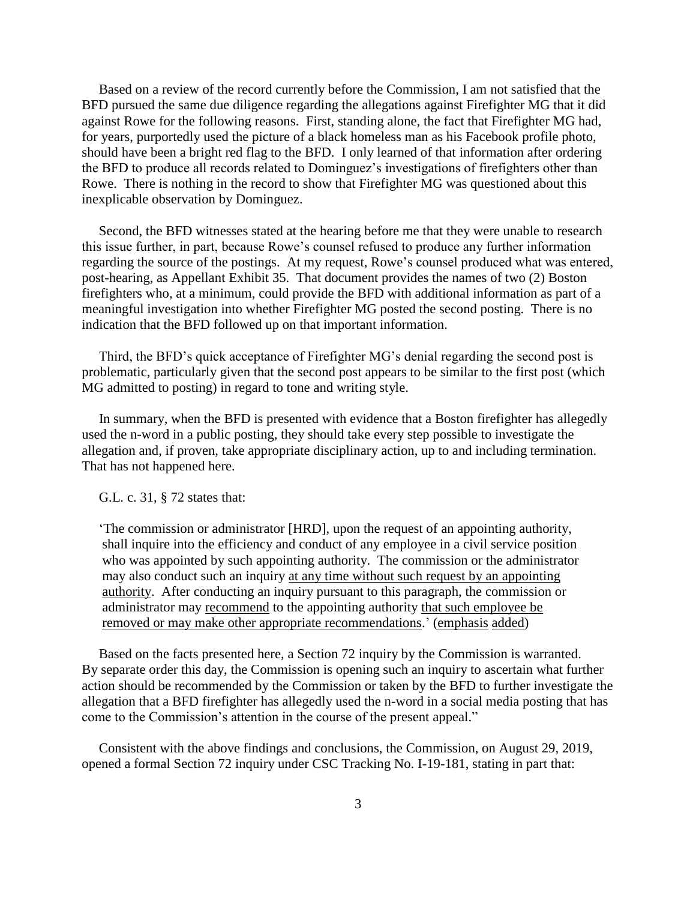Based on a review of the record currently before the Commission, I am not satisfied that the BFD pursued the same due diligence regarding the allegations against Firefighter MG that it did against Rowe for the following reasons. First, standing alone, the fact that Firefighter MG had, for years, purportedly used the picture of a black homeless man as his Facebook profile photo, should have been a bright red flag to the BFD. I only learned of that information after ordering the BFD to produce all records related to Dominguez's investigations of firefighters other than Rowe. There is nothing in the record to show that Firefighter MG was questioned about this inexplicable observation by Dominguez.

 Second, the BFD witnesses stated at the hearing before me that they were unable to research this issue further, in part, because Rowe's counsel refused to produce any further information regarding the source of the postings. At my request, Rowe's counsel produced what was entered, post-hearing, as Appellant Exhibit 35. That document provides the names of two (2) Boston firefighters who, at a minimum, could provide the BFD with additional information as part of a meaningful investigation into whether Firefighter MG posted the second posting. There is no indication that the BFD followed up on that important information.

 Third, the BFD's quick acceptance of Firefighter MG's denial regarding the second post is problematic, particularly given that the second post appears to be similar to the first post (which MG admitted to posting) in regard to tone and writing style.

 In summary, when the BFD is presented with evidence that a Boston firefighter has allegedly used the n-word in a public posting, they should take every step possible to investigate the allegation and, if proven, take appropriate disciplinary action, up to and including termination. That has not happened here.

G.L. c. 31, § 72 states that:

 'The commission or administrator [HRD], upon the request of an appointing authority, shall inquire into the efficiency and conduct of any employee in a civil service position who was appointed by such appointing authority. The commission or the administrator may also conduct such an inquiry at any time without such request by an appointing authority. After conducting an inquiry pursuant to this paragraph, the commission or administrator may recommend to the appointing authority that such employee be removed or may make other appropriate recommendations.' (emphasis added)

 Based on the facts presented here, a Section 72 inquiry by the Commission is warranted. By separate order this day, the Commission is opening such an inquiry to ascertain what further action should be recommended by the Commission or taken by the BFD to further investigate the allegation that a BFD firefighter has allegedly used the n-word in a social media posting that has come to the Commission's attention in the course of the present appeal."

 Consistent with the above findings and conclusions, the Commission, on August 29, 2019, opened a formal Section 72 inquiry under CSC Tracking No. I-19-181, stating in part that: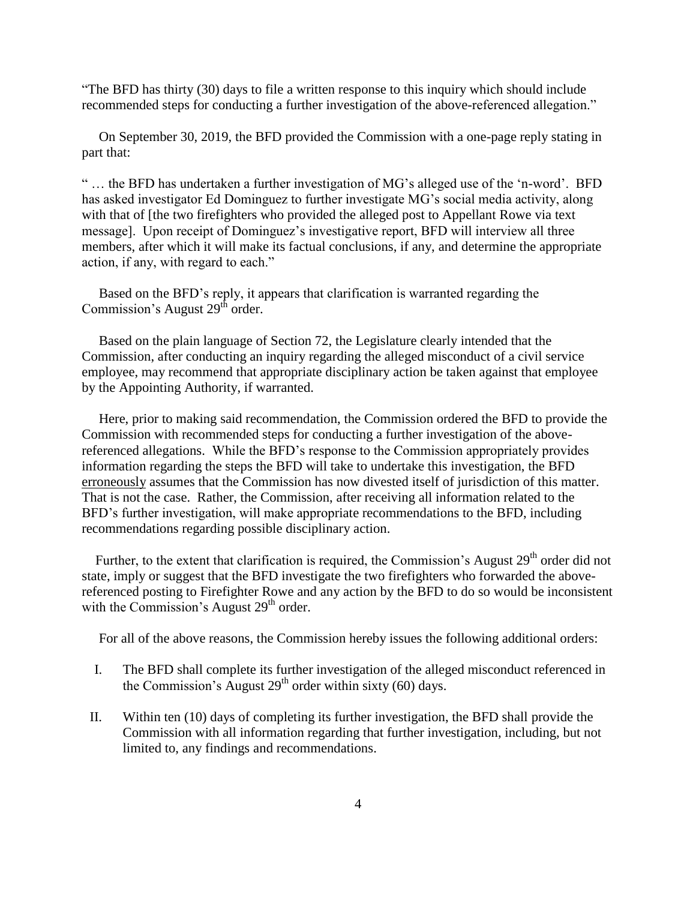"The BFD has thirty (30) days to file a written response to this inquiry which should include recommended steps for conducting a further investigation of the above-referenced allegation."

 On September 30, 2019, the BFD provided the Commission with a one-page reply stating in part that:

" … the BFD has undertaken a further investigation of MG's alleged use of the 'n-word'. BFD has asked investigator Ed Dominguez to further investigate MG's social media activity, along with that of [the two firefighters who provided the alleged post to Appellant Rowe via text message]. Upon receipt of Dominguez's investigative report, BFD will interview all three members, after which it will make its factual conclusions, if any, and determine the appropriate action, if any, with regard to each."

 Based on the BFD's reply, it appears that clarification is warranted regarding the Commission's August 29<sup>th</sup> order.

 Based on the plain language of Section 72, the Legislature clearly intended that the Commission, after conducting an inquiry regarding the alleged misconduct of a civil service employee, may recommend that appropriate disciplinary action be taken against that employee by the Appointing Authority, if warranted.

 Here, prior to making said recommendation, the Commission ordered the BFD to provide the Commission with recommended steps for conducting a further investigation of the abovereferenced allegations. While the BFD's response to the Commission appropriately provides information regarding the steps the BFD will take to undertake this investigation, the BFD erroneously assumes that the Commission has now divested itself of jurisdiction of this matter. That is not the case. Rather, the Commission, after receiving all information related to the BFD's further investigation, will make appropriate recommendations to the BFD, including recommendations regarding possible disciplinary action.

Further, to the extent that clarification is required, the Commission's August  $29<sup>th</sup>$  order did not state, imply or suggest that the BFD investigate the two firefighters who forwarded the abovereferenced posting to Firefighter Rowe and any action by the BFD to do so would be inconsistent with the Commission's August  $29<sup>th</sup>$  order.

For all of the above reasons, the Commission hereby issues the following additional orders:

- I. The BFD shall complete its further investigation of the alleged misconduct referenced in the Commission's August  $29<sup>th</sup>$  order within sixty (60) days.
- II. Within ten (10) days of completing its further investigation, the BFD shall provide the Commission with all information regarding that further investigation, including, but not limited to, any findings and recommendations.